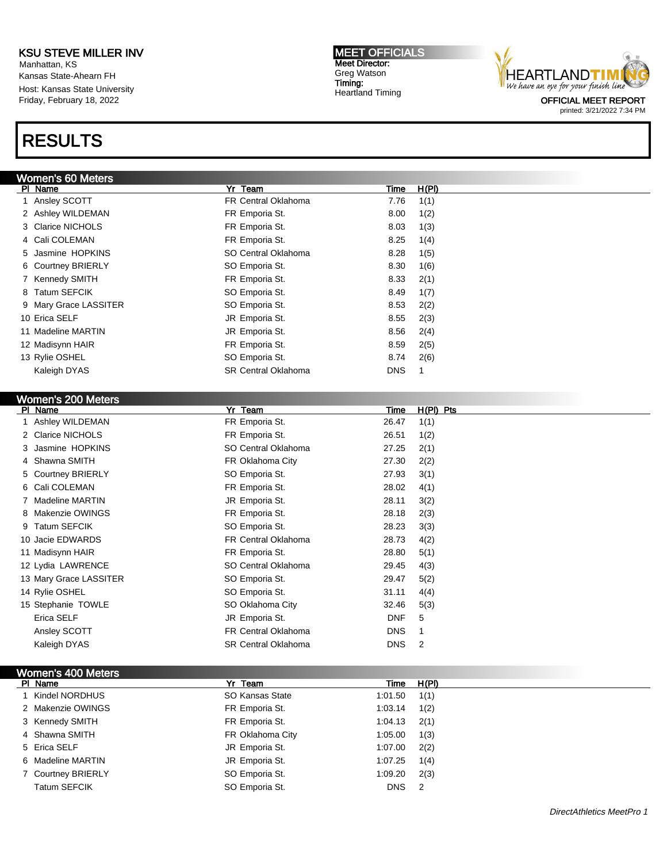Manhattan, KS Kansas State-Ahearn FH Host: Kansas State University Friday, February 18, 2022

# RESULTS

MEET OFFICIALS Meet Director: Greg Watson Timing: Heartland Timing



printed: 3/21/2022 7:34 PM

| Women's 60 Meters     |                            |            |       |
|-----------------------|----------------------------|------------|-------|
| PI Name               | Yr Team                    | Time       | H(PI) |
| 1 Ansley SCOTT        | <b>FR Central Oklahoma</b> | 7.76       | 1(1)  |
| 2 Ashley WILDEMAN     | FR Emporia St.             | 8.00       | 1(2)  |
| 3 Clarice NICHOLS     | FR Emporia St.             | 8.03       | 1(3)  |
| 4 Cali COLEMAN        | FR Emporia St.             | 8.25       | 1(4)  |
| 5 Jasmine HOPKINS     | SO Central Oklahoma        | 8.28       | 1(5)  |
| 6 Courtney BRIERLY    | SO Emporia St.             | 8.30       | 1(6)  |
| 7 Kennedy SMITH       | FR Emporia St.             | 8.33       | 2(1)  |
| 8 Tatum SEFCIK        | SO Emporia St.             | 8.49       | 1(7)  |
| 9 Mary Grace LASSITER | SO Emporia St.             | 8.53       | 2(2)  |
| 10 Erica SELF         | JR Emporia St.             | 8.55       | 2(3)  |
| 11 Madeline MARTIN    | JR Emporia St.             | 8.56       | 2(4)  |
| 12 Madisynn HAIR      | FR Emporia St.             | 8.59       | 2(5)  |
| 13 Rylie OSHEL        | SO Emporia St.             | 8.74       | 2(6)  |
| Kaleigh DYAS          | <b>SR Central Oklahoma</b> | <b>DNS</b> |       |
|                       |                            |            |       |

#### Women's 200 Meter

| <b>MANUTE AND MANUTE</b> |                            |                   |
|--------------------------|----------------------------|-------------------|
| PI Name                  | Yr Team                    | H(PI) Pts<br>Time |
| 1 Ashley WILDEMAN        | FR Emporia St.             | 26.47<br>1(1)     |
| 2 Clarice NICHOLS        | FR Emporia St.             | 26.51<br>1(2)     |
| 3 Jasmine HOPKINS        | SO Central Oklahoma        | 27.25<br>2(1)     |
| 4 Shawna SMITH           | FR Oklahoma City           | 27.30<br>2(2)     |
| 5 Courtney BRIERLY       | SO Emporia St.             | 27.93<br>3(1)     |
| 6 Cali COLEMAN           | FR Emporia St.             | 28.02<br>4(1)     |
| 7 Madeline MARTIN        | JR Emporia St.             | 28.11<br>3(2)     |
| 8 Makenzie OWINGS        | FR Emporia St.             | 28.18<br>2(3)     |
| 9 Tatum SEFCIK           | SO Emporia St.             | 28.23<br>3(3)     |
| 10 Jacie EDWARDS         | <b>FR Central Oklahoma</b> | 28.73<br>4(2)     |
| 11 Madisynn HAIR         | FR Emporia St.             | 28.80<br>5(1)     |
| 12 Lydia LAWRENCE        | SO Central Oklahoma        | 29.45<br>4(3)     |
| 13 Mary Grace LASSITER   | SO Emporia St.             | 29.47<br>5(2)     |
| 14 Rylie OSHEL           | SO Emporia St.             | 31.11<br>4(4)     |
| 15 Stephanie TOWLE       | SO Oklahoma City           | 5(3)<br>32.46     |
| Erica SELF               | JR Emporia St.             | <b>DNF</b><br>5   |
| Ansley SCOTT             | <b>FR Central Oklahoma</b> | <b>DNS</b>        |
| Kaleigh DYAS             | <b>SR Central Oklahoma</b> | <b>DNS</b><br>2   |

# Women's 400 Meters

| PI Name             | Yr Team          | Time       | H(PI) |
|---------------------|------------------|------------|-------|
| 1 Kindel NORDHUS    | SO Kansas State  | 1:01.50    | 1(1)  |
| 2 Makenzie OWINGS   | FR Emporia St.   | 1:03.14    | 1(2)  |
| 3 Kennedy SMITH     | FR Emporia St.   | 1:04.13    | 2(1)  |
| 4 Shawna SMITH      | FR Oklahoma City | 1:05.00    | 1(3)  |
| 5 Erica SELF        | JR Emporia St.   | 1:07.00    | 2(2)  |
| 6 Madeline MARTIN   | JR Emporia St.   | 1:07.25    | 1(4)  |
| 7 Courtney BRIERLY  | SO Emporia St.   | 1:09.20    | 2(3)  |
| <b>Tatum SEFCIK</b> | SO Emporia St.   | <b>DNS</b> | -2    |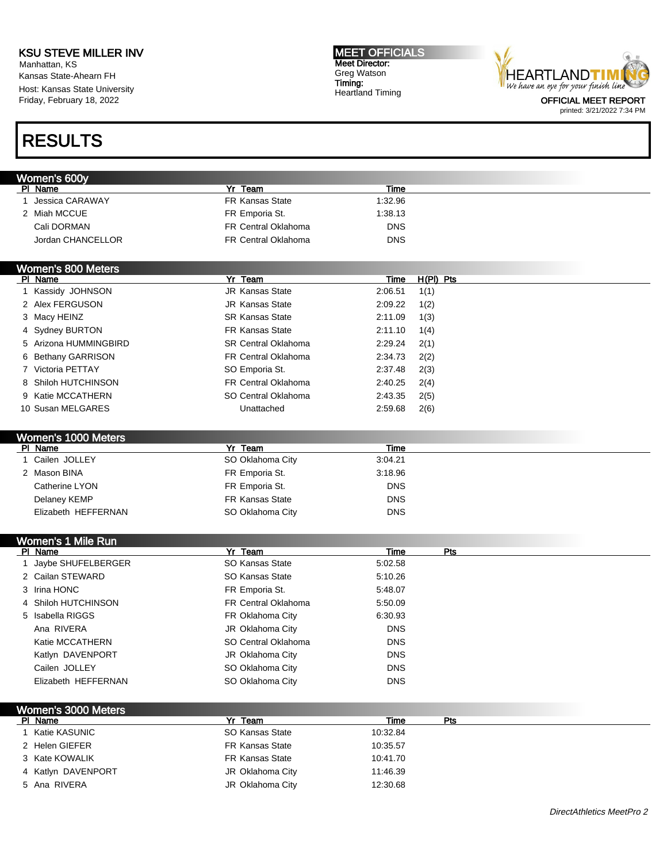Manhattan, KS Kansas State-Ahearn FH Host: Kansas State University Friday, February 18, 2022

#### MEET OFFICIALS Meet Director: Greg Watson Timing: Heartland Timing



RESULTS

# Women's 600y Pl Name Yr Team Time 1 Jessica CARAWAY FR Kansas State 1:32.96 2 Miah MCCUE **FR Emporia St.** 1:38.13 Cali DORMAN FR Central Oklahoma DNS Jordan CHANCELLOR FR Central Oklahoma DNS Women's 800 Meters Pl Name Yr Team Time H(Pl) Pts 1 Kassidy JOHNSON JR Kansas State 2:06.51 1(1) 2 Alex FERGUSON JR Kansas State 2:09.22 1(2) 3 Macy HEINZ **SR Kansas State** 2:11.09 1(3) 4 Sydney BURTON FR Kansas State 2:11.10 1(4) 5 Arizona HUMMINGBIRD SR Central Oklahoma 2:29.24 2(1) 6 Bethany GARRISON FR Central Oklahoma 2:34.73 2(2) 7 Victoria PETTAY SO Emporia St. 2:37.48 2(3) 8 Shiloh HUTCHINSON FR Central Oklahoma 2:40.25 2(4) 9 Katie MCCATHERN SO Central Oklahoma 2:43.35 2(5) 10 Susan MELGARES Unattached 2:59.68 2(6) Women's 1000 Meters<br>PL Name Pr Team Time 1 Cailen JOLLEY SO Oklahoma City 3:04.21 2 Mason BINA 3:18.96 Catherine LYON **FR** Emporia St. DNS Delaney KEMP **FR Kansas State CONS DRS** Elizabeth HEFFERNAN SO Oklahoma City DNS Women's 1 Mile Run PI Name Particle Property of the President President President President President President President President 1 Jaybe SHUFELBERGER SO Kansas State 5:02.58 2 Cailan STEWARD SO Kansas State 5:10.26 3 Irina HONC 6:48.07 4 Shiloh HUTCHINSON FR Central Oklahoma 5:50.09 5 Isabella RIGGS **FR Oklahoma City** 6:30.93 Ana RIVERA **DI DISTEM DI DISTEMBRI DI DISTEMBRI DI DISTEMBRI DI DISTEMBRI DI DISTEMBRI DI DISTEMBRI DI DISTEMBRI D** Katie MCCATHERN SO Central Oklahoma<br>
DNS Katlyn DAVENPORT **Grade City** JR Oklahoma City **DIS** Cailen JOLLEY SO Oklahoma City DNS Elizabeth HEFFERNAN SO Oklahoma City DNS Women's 3000 Meters PI Name Particle Property of the President President President President President President President President Pre 1 Katie KASUNIC SO Kansas State 10:32.84 2 Helen GIEFER FR Kansas State 10:35.57 3 Kate KOWALIK FR Kansas State 10:41.70

4 Katlyn DAVENPORT **JR Oklahoma City** 11:46.39 5 Ana RIVERA **JR Oklahoma City** 12:30.68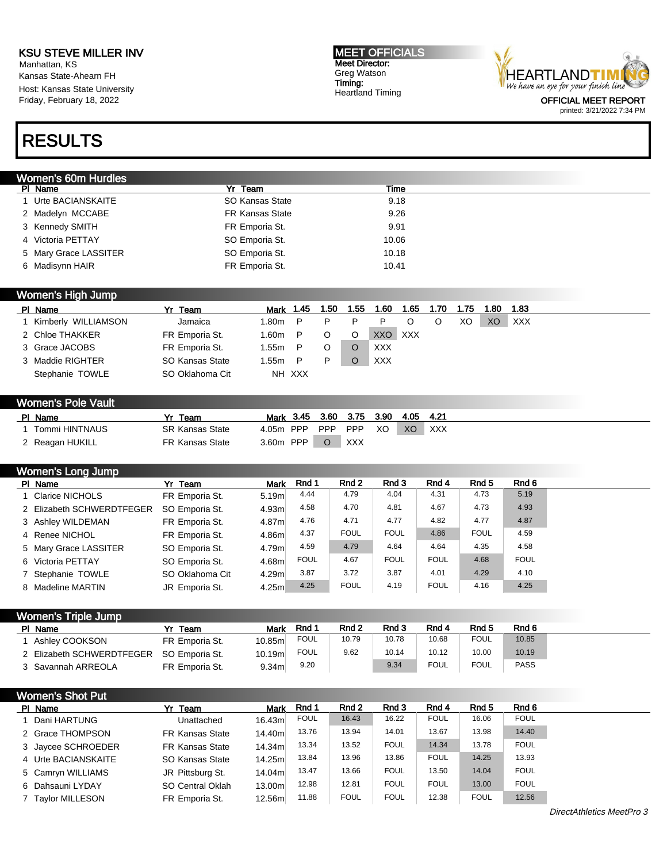Manhattan, KS Kansas State-Ahearn FH Host: Kansas State University Friday, February 18, 2022

#### MEET OFFICIALS Meet Director: Greg Watson Timing: Heartland Timing



# RESULTS

### Women's 60m Hurdles

| Yr Team                                                                                                                                | Time  |
|----------------------------------------------------------------------------------------------------------------------------------------|-------|
| SO Kansas State                                                                                                                        | 9.18  |
| FR Kansas State                                                                                                                        | 9.26  |
| FR Emporia St.                                                                                                                         | 9.91  |
| SO Emporia St.                                                                                                                         | 10.06 |
| SO Emporia St.                                                                                                                         | 10.18 |
| FR Emporia St.                                                                                                                         | 10.41 |
| PI Name<br>1 Urte BACIANSKAITE<br>2 Madelyn MCCABE<br>3 Kennedy SMITH<br>4 Victoria PETTAY<br>5 Mary Grace LASSITER<br>6 Madisynn HAIR |       |

## Women's High Jump

| PI Name             | Yr Team         | Mark 1.45 |        | 1.50 | 1.55 | 1.60    | 1.65 | 1.70 | 1.75 | 1.80 | 1.83       |
|---------------------|-----------------|-----------|--------|------|------|---------|------|------|------|------|------------|
| Kimberly WILLIAMSON | Jamaica         | 1.80m     | - P    | P    |      |         |      |      | XO   | XO   | <b>XXX</b> |
| 2 Chloe THAKKER     | FR Emporia St.  | 1.60m     | P      |      | O    | XXO XXX |      |      |      |      |            |
| 3 Grace JACOBS      | FR Emporia St.  | 1.55m     | P      |      |      | XXX     |      |      |      |      |            |
| 3 Maddie RIGHTER    | SO Kansas State | l.55m     | - P    | P    |      | XXX     |      |      |      |      |            |
| Stephanie TOWLE     | SO Oklahoma Cit |           | NH XXX |      |      |         |      |      |      |      |            |

### Women's Pole Vault

| PI Name         | ٧r<br>Team             | Mark 3.45 |            | 3.60 3.75 3.90 |    | 4.05 | -4.21 |
|-----------------|------------------------|-----------|------------|----------------|----|------|-------|
| Tommi HINTNAUS  | <b>SR Kansas State</b> | 4.05m PPP | <b>PPP</b> | <b>PPP</b>     | XO | XO   | XXX   |
| ` Reagan HUKILL | FR Kansas State        | 3.60m PPP |            | <b>XXX</b>     |    |      |       |

### Women's Long Jump

| PI Name                   | Yr Team         | <b>Mark</b> | Rnd 1       | Rnd 2       | Rnd 3       | Rnd 4       | Rnd <sub>5</sub> | Rnd 6       |
|---------------------------|-----------------|-------------|-------------|-------------|-------------|-------------|------------------|-------------|
| 1 Clarice NICHOLS         | FR Emporia St.  | 5.19m       | 4.44        | 4.79        | 4.04        | 4.31        | 4.73             | 5.19        |
| 2 Elizabeth SCHWERDTFEGER | SO Emporia St.  | 4.93m       | 4.58        | 4.70        | 4.81        | 4.67        | 4.73             | 4.93        |
| 3 Ashley WILDEMAN         | FR Emporia St.  | 4.87m       | 4.76        | 4.71        | 4.77        | 4.82        | 4.77             | 4.87        |
| 4 Renee NICHOL            | FR Emporia St.  | 4.86m       | 4.37        | <b>FOUL</b> | <b>FOUL</b> | 4.86        | <b>FOUL</b>      | 4.59        |
| 5 Mary Grace LASSITER     | SO Emporia St.  | 4.79m       | 4.59        | 4.79        | 4.64        | 4.64        | 4.35             | 4.58        |
| 6 Victoria PETTAY         | SO Emporia St.  | 4.68m       | <b>FOUL</b> | 4.67        | <b>FOUL</b> | <b>FOUL</b> | 4.68             | <b>FOUL</b> |
| 7 Stephanie TOWLE         | SO Oklahoma Cit | 4.29m       | 3.87        | 3.72        | 3.87        | 4.01        | 4.29             | 4.10        |
| 8 Madeline MARTIN         | JR Emporia St.  | 4.25m       | 4.25        | <b>FOUL</b> | 4.19        | <b>FOUL</b> | 4.16             | 4.25        |

| Women's Triple Jump       |                |                   |             |                  |       |             |                  |             |
|---------------------------|----------------|-------------------|-------------|------------------|-------|-------------|------------------|-------------|
| PI Name                   | Team           | <b>Mark</b>       | Rnd 1       | Rnd <sub>2</sub> | Rnd 3 | Rnd 4       | Rnd <sub>5</sub> | Rnd 6       |
| Ashley COOKSON            | FR Emporia St. | 10.85ml           | <b>FOUL</b> | 10.79            | 10.78 | 10.68       | <b>FOUL</b>      | 10.85       |
| 2 Elizabeth SCHWERDTFEGER | SO Emporia St. | 10.19m            | <b>FOUL</b> | 9.62             | 10.14 | 10.12       | 10.00            | 10.19       |
| 3 Savannah ARREOLA        | FR Emporia St. | 9.34 <sub>m</sub> | 9.20        |                  | 9.34  | <b>FOUL</b> | <b>FOUL</b>      | <b>PASS</b> |

| <b>Women's Shot Put</b> |                        |             |             |             |             |             |             |             |  |
|-------------------------|------------------------|-------------|-------------|-------------|-------------|-------------|-------------|-------------|--|
| PI Name                 | Yr Team                | <b>Mark</b> | Rnd 1       | Rnd 2       | Rnd 3       | Rnd 4       | Rnd 5       | Rnd 6       |  |
| Dani HARTUNG            | Unattached             | 16.43m      | <b>FOUL</b> | 16.43       | 16.22       | <b>FOUL</b> | 16.06       | <b>FOUL</b> |  |
| 2 Grace THOMPSON        | <b>FR Kansas State</b> | 14.40m      | 13.76       | 13.94       | 14.01       | 13.67       | 13.98       | 14.40       |  |
| 3 Jaycee SCHROEDER      | <b>FR Kansas State</b> | 14.34m      | 13.34       | 13.52       | <b>FOUL</b> | 14.34       | 13.78       | <b>FOUL</b> |  |
| 4 Urte BACIANSKAITE     | SO Kansas State        | 14.25m      | 13.84       | 13.96       | 13.86       | <b>FOUL</b> | 14.25       | 13.93       |  |
| 5 Camryn WILLIAMS       | JR Pittsburg St.       | 14.04m      | 13.47       | 13.66       | <b>FOUL</b> | 13.50       | 14.04       | <b>FOUL</b> |  |
| 6 Dahsauni LYDAY        | SO Central Oklah       | 13.00m      | 12.98       | 12.81       | <b>FOUL</b> | <b>FOUL</b> | 13.00       | <b>FOUL</b> |  |
| <b>Taylor MILLESON</b>  | FR Emporia St.         | 12.56m      | 11.88       | <b>FOUL</b> | <b>FOUL</b> | 12.38       | <b>FOUL</b> | 12.56       |  |

DirectAthletics MeetPro 3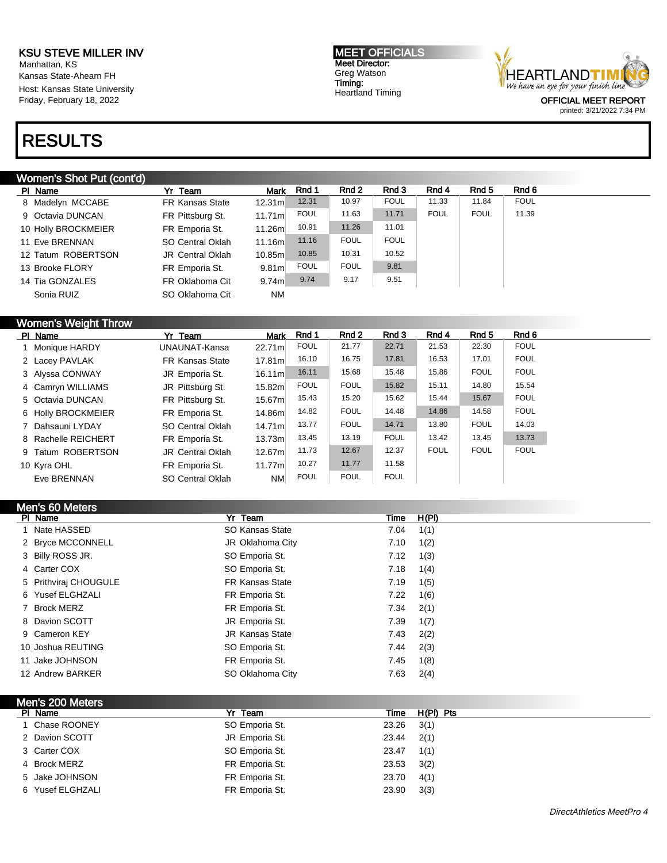Manhattan, KS Kansas State-Ahearn FH Host: Kansas State University Friday, February 18, 2022

# RESULTS

### Women's Shot Put (cont'd)

| PI Name             | Yr Team                 | <b>Mark</b>        | Rnd 1       | Rnd 2       | Rnd 3       | Rnd 4       | Rnd 5       | Rnd 6       |
|---------------------|-------------------------|--------------------|-------------|-------------|-------------|-------------|-------------|-------------|
| 8 Madelyn MCCABE    | <b>FR Kansas State</b>  | 12.31 <sub>m</sub> | 12.31       | 10.97       | <b>FOUL</b> | 11.33       | 11.84       | <b>FOUL</b> |
| 9 Octavia DUNCAN    | FR Pittsburg St.        | 11.71m             | <b>FOUL</b> | 11.63       | 11.71       | <b>FOUL</b> | <b>FOUL</b> | 11.39       |
| 10 Holly BROCKMEIER | FR Emporia St.          | 11.26m             | 10.91       | 11.26       | 11.01       |             |             |             |
| 11 Eve BRENNAN      | SO Central Oklah        | 11.16m             | 11.16       | <b>FOUL</b> | <b>FOUL</b> |             |             |             |
| 12 Tatum ROBERTSON  | <b>JR Central Oklah</b> | 10.85m             | 10.85       | 10.31       | 10.52       |             |             |             |
| 13 Brooke FLORY     | FR Emporia St.          | 9.81 <sub>m</sub>  | <b>FOUL</b> | <b>FOUL</b> | 9.81        |             |             |             |
| 14 Tia GONZALES     | FR Oklahoma Cit         | 9.74 <sub>m</sub>  | 9.74        | 9.17        | 9.51        |             |             |             |
| Sonia RUIZ          | SO Oklahoma Cit         | <b>NM</b>          |             |             |             |             |             |             |

# Women's Weight Throw

| PI Name             | Yr Team                 | <b>Mark</b>        | Rnd 1       | Rnd 2       | Rnd 3       | Rnd 4       | Rnd 5       | Rnd 6       |
|---------------------|-------------------------|--------------------|-------------|-------------|-------------|-------------|-------------|-------------|
| 1 Monique HARDY     | UNAUNAT-Kansa           | 22.71m             | <b>FOUL</b> | 21.77       | 22.71       | 21.53       | 22.30       | <b>FOUL</b> |
| 2 Lacey PAVLAK      | <b>FR Kansas State</b>  | 17.81 <sub>m</sub> | 16.10       | 16.75       | 17.81       | 16.53       | 17.01       | <b>FOUL</b> |
| 3 Alyssa CONWAY     | JR Emporia St.          | 16.11m             | 16.11       | 15.68       | 15.48       | 15.86       | <b>FOUL</b> | <b>FOUL</b> |
| 4 Camryn WILLIAMS   | JR Pittsburg St.        | 15.82m             | <b>FOUL</b> | <b>FOUL</b> | 15.82       | 15.11       | 14.80       | 15.54       |
| 5 Octavia DUNCAN    | FR Pittsburg St.        | 15.67 <sub>m</sub> | 15.43       | 15.20       | 15.62       | 15.44       | 15.67       | <b>FOUL</b> |
| 6 Holly BROCKMEIER  | FR Emporia St.          | 14.86m             | 14.82       | <b>FOUL</b> | 14.48       | 14.86       | 14.58       | <b>FOUL</b> |
| 7 Dahsauni LYDAY    | SO Central Oklah        | 14.71 <sub>m</sub> | 13.77       | <b>FOUL</b> | 14.71       | 13.80       | <b>FOUL</b> | 14.03       |
| 8 Rachelle REICHERT | FR Emporia St.          | 13.73m             | 13.45       | 13.19       | <b>FOUL</b> | 13.42       | 13.45       | 13.73       |
| 9 Tatum ROBERTSON   | <b>JR Central Oklah</b> | 12.67ml            | 11.73       | 12.67       | 12.37       | <b>FOUL</b> | <b>FOUL</b> | <b>FOUL</b> |
| 10 Kyra OHL         | FR Emporia St.          | 11.77m             | 10.27       | 11.77       | 11.58       |             |             |             |
| Eve BRENNAN         | SO Central Oklah        | <b>NM</b>          | <b>FOUL</b> | <b>FOUL</b> | <b>FOUL</b> |             |             |             |

|                  | Men's 60 Meters       |                        |      |       |
|------------------|-----------------------|------------------------|------|-------|
| PI Name          |                       | Yr Team                | Time | H(PI) |
|                  | Nate HASSED           | SO Kansas State        | 7.04 | 1(1)  |
|                  | 2 Bryce MCCONNELL     | JR Oklahoma City       | 7.10 | 1(2)  |
| 3 Billy ROSS JR. |                       | SO Emporia St.         | 7.12 | 1(3)  |
| 4 Carter COX     |                       | SO Emporia St.         | 7.18 | 1(4)  |
|                  | 5 Prithviraj CHOUGULE | <b>FR Kansas State</b> | 7.19 | 1(5)  |
|                  | 6 Yusef ELGHZALI      | FR Emporia St.         | 7.22 | 1(6)  |
| 7 Brock MERZ     |                       | FR Emporia St.         | 7.34 | 2(1)  |
|                  | 8 Davion SCOTT        | JR Emporia St.         | 7.39 | 1(7)  |
| 9 Cameron KEY    |                       | <b>JR Kansas State</b> | 7.43 | 2(2)  |
|                  | 10 Joshua REUTING     | SO Emporia St.         | 7.44 | 2(3)  |
|                  | 11 Jake JOHNSON       | FR Emporia St.         | 7.45 | 1(8)  |
|                  | 12 Andrew BARKER      | SO Oklahoma City       | 7.63 | 2(4)  |

| Men's 200 Meters |                |       |           |
|------------------|----------------|-------|-----------|
| PI Name          | Yr Team        | Time  | H(PI) Pts |
| 1 Chase ROONEY   | SO Emporia St. | 23.26 | 3(1)      |
| 2 Davion SCOTT   | JR Emporia St. | 23.44 | 2(1)      |
| 3 Carter COX     | SO Emporia St. | 23.47 | 1(1)      |
| 4 Brock MERZ     | FR Emporia St. | 23.53 | 3(2)      |
| 5 Jake JOHNSON   | FR Emporia St. | 23.70 | 4(1)      |
| 6 Yusef ELGHZALI | FR Emporia St. | 23.90 | 3(3)      |
|                  |                |       |           |

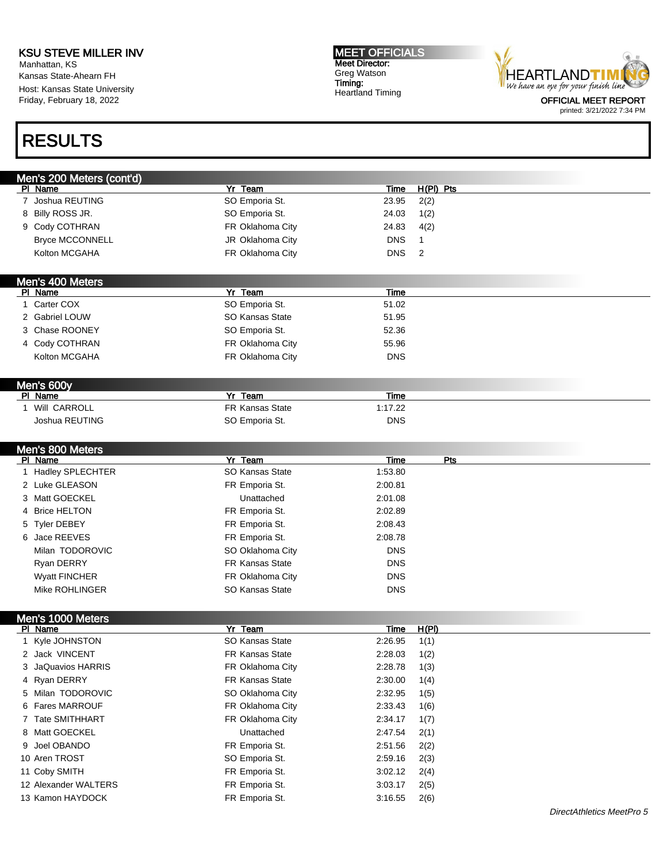Manhattan, KS Kansas State-Ahearn FH Host: Kansas State University Friday, February 18, 2022

# RESULTS

MEET OFFICIALS Meet Director: Greg Watson Timing: Heartland Timing



printed: 3/21/2022 7:34 PM

|   | Men's 200 Meters (cont'd) |                  |             |              |
|---|---------------------------|------------------|-------------|--------------|
|   | PI Name                   | <b>Yr Team</b>   | Time        | $H(PI)$ Pts  |
|   | 7 Joshua REUTING          | SO Emporia St.   | 23.95       | 2(2)         |
|   | 8 Billy ROSS JR.          | SO Emporia St.   | 24.03       | 1(2)         |
|   | 9 Cody COTHRAN            | FR Oklahoma City | 24.83       | 4(2)         |
|   | <b>Bryce MCCONNELL</b>    | JR Oklahoma City | <b>DNS</b>  | $\mathbf{1}$ |
|   | Kolton MCGAHA             | FR Oklahoma City | <b>DNS</b>  | 2            |
|   |                           |                  |             |              |
|   | Men's 400 Meters          |                  |             |              |
|   | PI Name                   | Yr Team          | <b>Time</b> |              |
|   | 1 Carter COX              | SO Emporia St.   | 51.02       |              |
|   | 2 Gabriel LOUW            | SO Kansas State  | 51.95       |              |
|   | 3 Chase ROONEY            | SO Emporia St.   | 52.36       |              |
|   | 4 Cody COTHRAN            | FR Oklahoma City | 55.96       |              |
|   | Kolton MCGAHA             | FR Oklahoma City | <b>DNS</b>  |              |
|   |                           |                  |             |              |
|   | Men's 600y                |                  |             |              |
|   | PI Name                   | Yr Team          | <b>Time</b> |              |
|   | 1 Will CARROLL            | FR Kansas State  | 1:17.22     |              |
|   | Joshua REUTING            | SO Emporia St.   | <b>DNS</b>  |              |
|   |                           |                  |             |              |
|   | Men's 800 Meters          |                  |             |              |
|   | PI Name                   | Yr Team          | <b>Time</b> | Pts          |
|   | 1 Hadley SPLECHTER        | SO Kansas State  | 1:53.80     |              |
|   | 2 Luke GLEASON            | FR Emporia St.   | 2:00.81     |              |
|   | 3 Matt GOECKEL            | Unattached       | 2:01.08     |              |
| 4 | <b>Brice HELTON</b>       | FR Emporia St.   | 2:02.89     |              |
|   | 5 Tyler DEBEY             | FR Emporia St.   | 2:08.43     |              |
|   | 6 Jace REEVES             | FR Emporia St.   | 2:08.78     |              |
|   | Milan TODOROVIC           | SO Oklahoma City | <b>DNS</b>  |              |
|   | Ryan DERRY                | FR Kansas State  | <b>DNS</b>  |              |
|   | <b>Wyatt FINCHER</b>      | FR Oklahoma City | <b>DNS</b>  |              |
|   | Mike ROHLINGER            | SO Kansas State  | <b>DNS</b>  |              |
|   |                           |                  |             |              |
|   | Men's 1000 Meters         |                  |             |              |
|   |                           |                  |             |              |

| PI Name              | Yr Team                | Time    | H(PI) |
|----------------------|------------------------|---------|-------|
| 1 Kyle JOHNSTON      | SO Kansas State        | 2:26.95 | 1(1)  |
| 2 Jack VINCENT       | <b>FR Kansas State</b> | 2:28.03 | 1(2)  |
| 3 JaQuavios HARRIS   | FR Oklahoma City       | 2:28.78 | 1(3)  |
| 4 Ryan DERRY         | <b>FR Kansas State</b> | 2:30.00 | 1(4)  |
| 5 Milan TODOROVIC    | SO Oklahoma City       | 2:32.95 | 1(5)  |
| 6 Fares MARROUF      | FR Oklahoma City       | 2:33.43 | 1(6)  |
| 7 Tate SMITHHART     | FR Oklahoma City       | 2:34.17 | 1(7)  |
| 8 Matt GOECKEL       | Unattached             | 2:47.54 | 2(1)  |
| 9 Joel OBANDO        | FR Emporia St.         | 2:51.56 | 2(2)  |
| 10 Aren TROST        | SO Emporia St.         | 2:59.16 | 2(3)  |
| 11 Coby SMITH        | FR Emporia St.         | 3:02.12 | 2(4)  |
| 12 Alexander WALTERS | FR Emporia St.         | 3:03.17 | 2(5)  |
| 13 Kamon HAYDOCK     | FR Emporia St.         | 3:16.55 | 2(6)  |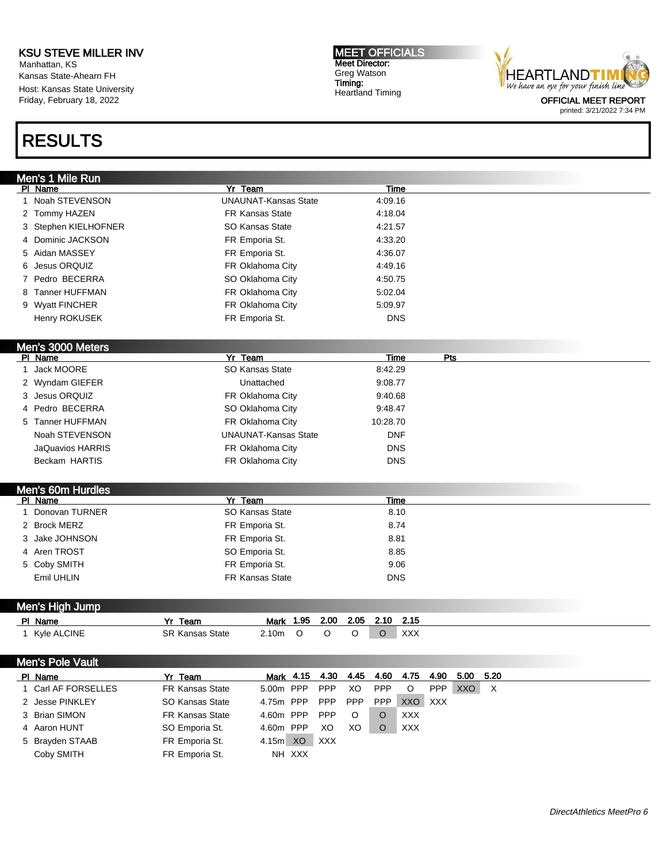Manhattan, KS Kansas State-Ahearn FH Host: Kansas State University Friday, February 18, 2022

# RESULTS

MEET OFFICIALS Meet Director: Greg Watson Timing: Heartland Timing



printed: 3/21/2022 7:34 PM

|    | Men's 1 Mile Run             |                        |                             |            |                   |             |            |      |             |  |  |
|----|------------------------------|------------------------|-----------------------------|------------|-------------------|-------------|------------|------|-------------|--|--|
|    | PI Name                      | Yr Team                |                             |            |                   | Time        |            |      |             |  |  |
|    | 1 Noah STEVENSON             |                        | <b>UNAUNAT-Kansas State</b> |            | 4:09.16           |             |            |      |             |  |  |
|    | 2 Tommy HAZEN                |                        | <b>FR Kansas State</b>      |            | 4:18.04           |             |            |      |             |  |  |
|    | 3 Stephen KIELHOFNER         |                        | SO Kansas State             |            | 4:21.57           |             |            |      |             |  |  |
| 4  | Dominic JACKSON              |                        | FR Emporia St.              |            | 4:33.20           |             |            |      |             |  |  |
|    | 5 Aidan MASSEY               |                        | FR Emporia St.              |            | 4:36.07           |             |            |      |             |  |  |
| 6  | Jesus ORQUIZ                 |                        | FR Oklahoma City            |            | 4:49.16           |             |            |      |             |  |  |
|    | 7 Pedro BECERRA              |                        | SO Oklahoma City            |            | 4:50.75           |             |            |      |             |  |  |
| 8  | <b>Tanner HUFFMAN</b>        |                        | FR Oklahoma City            |            | 5:02.04           |             |            |      |             |  |  |
|    | 9 Wyatt FINCHER              |                        | FR Oklahoma City            |            | 5:09.97           |             |            |      |             |  |  |
|    | Henry ROKUSEK                |                        | FR Emporia St.              |            |                   | <b>DNS</b>  |            |      |             |  |  |
|    |                              |                        |                             |            |                   |             |            |      |             |  |  |
|    | Men's 3000 Meters            |                        |                             |            |                   |             |            |      |             |  |  |
|    | PI Name                      | Yr Team                |                             |            |                   | <b>Time</b> | Pts        |      |             |  |  |
| 1. | Jack MOORE                   |                        | SO Kansas State             |            | 8:42.29           |             |            |      |             |  |  |
|    | 2 Wyndam GIEFER              |                        | Unattached                  |            | 9:08.77           |             |            |      |             |  |  |
| 3  | Jesus ORQUIZ                 |                        | FR Oklahoma City            |            | 9:40.68           |             |            |      |             |  |  |
|    | 4 Pedro BECERRA              |                        | SO Oklahoma City            |            | 9:48.47           |             |            |      |             |  |  |
|    | 5 Tanner HUFFMAN             |                        | FR Oklahoma City            |            | 10:28.70          |             |            |      |             |  |  |
|    | Noah STEVENSON               |                        | <b>UNAUNAT-Kansas State</b> |            |                   | <b>DNF</b>  |            |      |             |  |  |
|    | <b>JaQuavios HARRIS</b>      |                        | FR Oklahoma City            |            |                   | <b>DNS</b>  |            |      |             |  |  |
|    | Beckam HARTIS                |                        | FR Oklahoma City            |            |                   | <b>DNS</b>  |            |      |             |  |  |
|    |                              |                        |                             |            |                   |             |            |      |             |  |  |
|    |                              |                        |                             |            |                   |             |            |      |             |  |  |
|    |                              |                        |                             |            |                   |             |            |      |             |  |  |
|    | Men's 60m Hurdles<br>PI Name | <b>Yr Team</b>         |                             |            |                   | Time        |            |      |             |  |  |
|    | 1 Donovan TURNER             |                        | SO Kansas State             |            |                   | 8.10        |            |      |             |  |  |
|    | 2 Brock MERZ                 |                        | FR Emporia St.              |            |                   | 8.74        |            |      |             |  |  |
|    | 3 Jake JOHNSON               |                        | FR Emporia St.              |            |                   | 8.81        |            |      |             |  |  |
|    | 4 Aren TROST                 |                        | SO Emporia St.              |            |                   | 8.85        |            |      |             |  |  |
|    | 5 Coby SMITH                 |                        | FR Emporia St.              |            |                   | 9.06        |            |      |             |  |  |
|    | Emil UHLIN                   |                        | <b>FR Kansas State</b>      |            |                   | <b>DNS</b>  |            |      |             |  |  |
|    |                              |                        |                             |            |                   |             |            |      |             |  |  |
|    |                              |                        |                             |            |                   |             |            |      |             |  |  |
|    | Men's High Jump              |                        |                             |            |                   |             |            |      |             |  |  |
|    | PI Name                      | Yr Team                | Mark 1.95<br>O              | 2.00<br>O  | 2.05<br>2.10<br>O | 2.15        |            |      |             |  |  |
|    | 1 Kyle ALCINE                | <b>SR Kansas State</b> | 2.10m                       |            | O                 | <b>XXX</b>  |            |      |             |  |  |
|    |                              |                        |                             |            |                   |             |            |      |             |  |  |
|    | Men's Pole Vault             |                        |                             |            |                   |             |            |      |             |  |  |
|    | PI Name                      | Yr Team                | Mark 4.15                   | 4.30       | 4.45<br>4.60      | 4.75        | 4.90       | 5.00 | 5.20        |  |  |
|    | 1 Carl AF FORSELLES          | FR Kansas State        | 5.00m PPP                   | PPP        | XO<br>PPP         | $\mathsf O$ | PPP        | XXO  | $\mathsf X$ |  |  |
|    | 2 Jesse PINKLEY              | SO Kansas State        | 4.75m PPP                   | PPP        | PPP<br>PPP        | XXO         | <b>XXX</b> |      |             |  |  |
|    | 3 Brian SIMON                | FR Kansas State        | 4.60m PPP                   | <b>PPP</b> | $\circ$<br>O      | <b>XXX</b>  |            |      |             |  |  |
|    | 4 Aaron HUNT                 | SO Emporia St.         | 4.60m PPP                   | XO         | XO<br>O           | XXX         |            |      |             |  |  |
|    | 5 Brayden STAAB              | FR Emporia St.         | $4.15m$ XO                  | <b>XXX</b> |                   |             |            |      |             |  |  |
|    | Coby SMITH                   | FR Emporia St.         | NH XXX                      |            |                   |             |            |      |             |  |  |
|    |                              |                        |                             |            |                   |             |            |      |             |  |  |